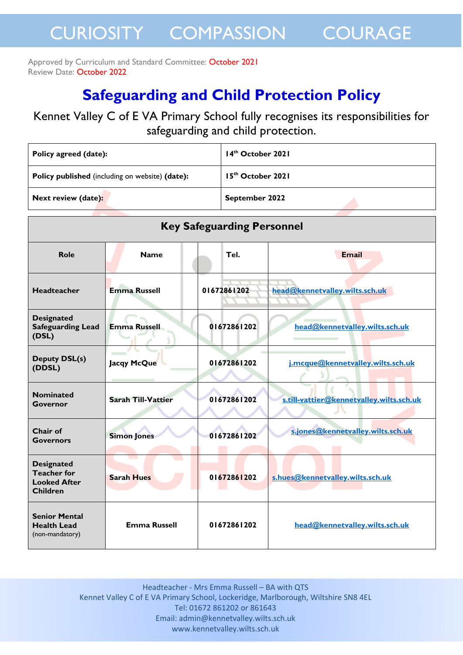#### Approved by Curriculum and Standard Committee: October 2021 Review Date: October 2022

### **Safeguarding and Child Protection Policy**

Kennet Valley C of E VA Primary School fully recognises its responsibilities for safeguarding and child protection.

| Policy agreed (date):                                  | 14 <sup>th</sup> October 2021 |
|--------------------------------------------------------|-------------------------------|
| <b>Policy published</b> (including on website) (date): | $15th$ October 2021           |
| Next review (date):                                    | September 2022                |

| <b>Key Safeguarding Personnel</b>                                                 |                           |             |                                          |  |  |
|-----------------------------------------------------------------------------------|---------------------------|-------------|------------------------------------------|--|--|
| Role                                                                              | <b>Name</b>               | Tel.        | <b>Email</b>                             |  |  |
| <b>Headteacher</b>                                                                | <b>Emma Russell</b>       | 01672861202 | head@kennetvalley.wilts.sch.uk           |  |  |
| <b>Designated</b><br><b>Safeguarding Lead</b><br>(DSL)                            | <b>Emma Russell</b>       | 01672861202 | head@kennetvalley.wilts.sch.uk           |  |  |
| <b>Deputy DSL(s)</b><br>(DDSL)                                                    | Jacqy McQue               | 01672861202 | i.mcque@kennetvalley.wilts.sch.uk        |  |  |
| <b>Nominated</b><br><b>Governor</b>                                               | <b>Sarah Till-Vattier</b> | 01672861202 | s.till-vattier@kennetvalley.wilts.sch.uk |  |  |
| Chair of<br><b>Governors</b>                                                      | <b>Simon Jones</b>        | 01672861202 | s.jones@kennetvalley.wilts.sch.uk        |  |  |
| <b>Designated</b><br><b>Teacher for</b><br><b>Looked After</b><br><b>Children</b> | <b>Sarah Hues</b>         | 01672861202 | s.hues@kennetvalley.wilts.sch.uk         |  |  |
| <b>Senior Mental</b><br><b>Health Lead</b><br>(non-mandatory)                     | <b>Emma Russell</b>       | 01672861202 | head@kennetvalley.wilts.sch.uk           |  |  |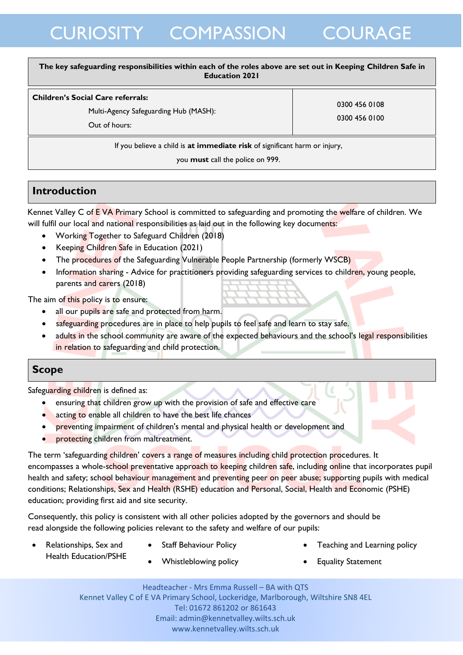#### **The key safeguarding responsibilities within each of the roles above are set out in Keeping Children Safe in Education 2021**

#### **Children's Social Care referrals:**

Multi-Agency Safeguarding Hub (MASH):

0300 456 0108 0300 456 0100

Out of hours:

If you believe a child is **at immediate risk** of significant harm or injury,

you **must** call the police on 999.

### **Introduction**

Kennet Valley C of EVA Primary School is committed to safeguarding and promoting the welfare of children. We will fulfil our local and national responsibilities as laid out in the following key documents:

- Working Together to Safeguard Children (2018)
- Keeping Children Safe in Education (2021)
- [The procedures of the](http://www.proceduresonline.com/birmingham/scb/) Safeguarding Vulnerable People Partnership (formerly WSCB)
- Information sharing Advice for practitioners providing safeguarding services to children, young people, parents and carers (2018)

The aim of this policy is to ensure:

- all our pupils are safe and protected from harm.
- safeguarding procedures are in place to help pupils to feel safe and learn to stay safe.
- adults in the school community are aware of the expected behaviours and the school's legal responsibilities in relation to safeguarding and child protection.

### **Scope**

Safeguarding children is defined as:

- ensuring that children grow up with the provision of safe and effective care
- acting to enable all children to have the best life chances
- preventing impairment of children's mental and physical health or development and
- protecting children from maltreatment.

The term 'safeguarding children' covers a range of measures including child protection procedures. It encompasses a whole-school preventative approach to keeping children safe, including online that incorporates pupil health and safety; school behaviour management and preventing peer on peer abuse; supporting pupils with medical conditions; Relationships, Sex and Health (RSHE) education and Personal, Social, Health and Economic (PSHE) education; providing first aid and site security.

Consequently, this policy is consistent with all other policies adopted by the governors and should be read alongside the following policies relevant to the safety and welfare of our pupils:

- Relationships, Sex and Health Education/PSHE
- Staff Behaviour Policy
- Teaching and Learning policy
- Whistleblowing policy
- Equality Statement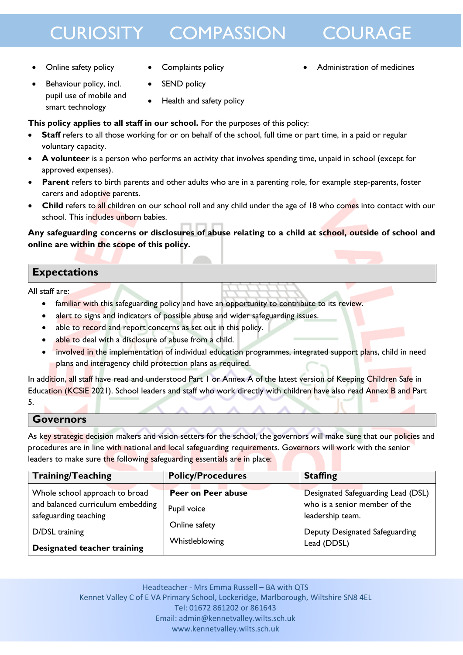

Administration of medicines

- Online safety policy
- Complaints policy
- Behaviour policy, incl. pupil use of mobile and smart technology
- SEND policy
- Health and safety policy

**This policy applies to all staff in our school.** For the purposes of this policy:

- **Staff** refers to all those working for or on behalf of the school, full time or part time, in a paid or regular voluntary capacity.
- **A volunteer** is a person who performs an activity that involves spending time, unpaid in school (except for approved expenses).
- **Parent** refers to birth parents and other adults who are in a parenting role, for example step-parents, foster carers and adoptive parents.
- **Child** refers to all children on our school roll and any child under the age of 18 who comes into contact with our school. This includes unborn babies.

**Any safeguarding concerns or disclosures of abuse relating to a child at school, outside of school and online are within the scope of this policy.**

### **Expectations**

All staff are:

- familiar with this safeguarding policy and have an opportunity to contribute to its review.
- alert to signs and indicators of possible abuse and wider safeguarding issues.
- able to record and report concerns as set out in this policy.
- able to deal with a disclosure of abuse from a child.
- involved in the implementation of individual education programmes, integrated support plans, child in need plans and interagency child protection plans as required.

In addition, all staff have read and understood Part 1 or Annex A of the latest version of Keeping Children Safe in Education (KCSiE 2021). School leaders and staff who work directly with children have also read Annex B and Part 5.

#### **Governors**

As key strategic decision makers and vision setters for the school, the governors will make sure that our policies and procedures are in line with national and local safeguarding requirements. Governors will work with the senior leaders to make sure the following safeguarding essentials are in place:

| <b>Training/Teaching</b>                                                                                                                      | <b>Policy/Procedures</b>                                             | <b>Staffing</b>                                                                                                                          |
|-----------------------------------------------------------------------------------------------------------------------------------------------|----------------------------------------------------------------------|------------------------------------------------------------------------------------------------------------------------------------------|
| Whole school approach to broad<br>and balanced curriculum embedding<br>safeguarding teaching<br>D/DSL training<br>Designated teacher training | Peer on Peer abuse<br>Pupil voice<br>Online safety<br>Whistleblowing | Designated Safeguarding Lead (DSL)<br>who is a senior member of the<br>leadership team.<br>Deputy Designated Safeguarding<br>Lead (DDSL) |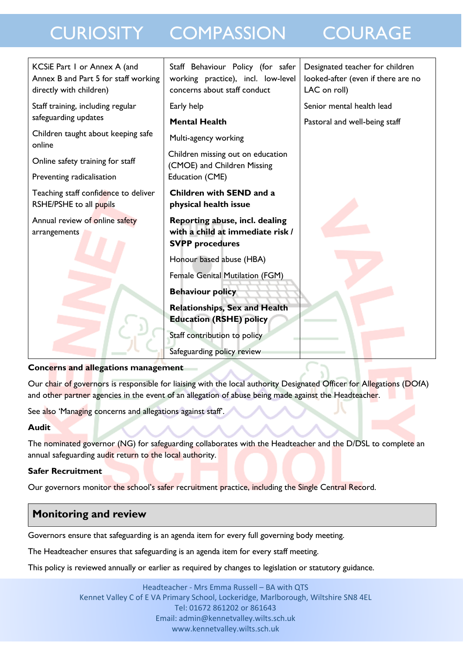| KCSiE Part 1 or Annex A (and<br>Annex B and Part 5 for staff working<br>directly with children) | Staff Behaviour Policy (for safer<br>working practice), incl. low-level<br>concerns about staff conduct | Designated teacher for children<br>looked-after (even if there are no<br>LAC on roll) |  |  |
|-------------------------------------------------------------------------------------------------|---------------------------------------------------------------------------------------------------------|---------------------------------------------------------------------------------------|--|--|
| Staff training, including regular<br>safeguarding updates                                       | Early help                                                                                              | Senior mental health lead                                                             |  |  |
| Children taught about keeping safe<br>online                                                    | <b>Mental Health</b><br>Multi-agency working                                                            | Pastoral and well-being staff                                                         |  |  |
| Online safety training for staff                                                                | Children missing out on education<br>(CMOE) and Children Missing                                        |                                                                                       |  |  |
| Preventing radicalisation                                                                       | Education (CME)                                                                                         |                                                                                       |  |  |
| Teaching staff confidence to deliver<br>RSHE/PSHE to all pupils                                 | Children with SEND and a<br>physical health issue                                                       |                                                                                       |  |  |
| Annual review of online safety<br>arrangements                                                  | Reporting abuse, incl. dealing<br>with a child at immediate risk /<br><b>SVPP</b> procedures            |                                                                                       |  |  |
|                                                                                                 | Honour based abuse (HBA)                                                                                |                                                                                       |  |  |
|                                                                                                 | Female Genital Mutilation (FGM)                                                                         |                                                                                       |  |  |
|                                                                                                 | <b>Behaviour policy</b>                                                                                 |                                                                                       |  |  |
|                                                                                                 | <b>Relationships, Sex and Health</b><br><b>Education (RSHE) policy</b>                                  |                                                                                       |  |  |
|                                                                                                 | Staff contribution to policy                                                                            |                                                                                       |  |  |
|                                                                                                 | Safeguarding policy review                                                                              |                                                                                       |  |  |
| Concerns and allegations management                                                             |                                                                                                         |                                                                                       |  |  |

Our chair of governors is responsible for liaising with the local authority Designated Officer for Allegations (DOfA) and other partner agencies in the event of an allegation of abuse being made against the Headteacher.

See also 'Managing concerns and allegations against staff'.

### **Audit**

The nominated governor (NG) for safeguarding collaborates with the Headteacher and the D/DSL to complete an annual safeguarding audit return to the local authority.

### **Safer Recruitment**

Our governors monitor the school's safer recruitment practice, including the Single Central Record.

### **Monitoring and review**

Governors ensure that safeguarding is an agenda item for every full governing body meeting.

The Headteacher ensures that safeguarding is an agenda item for every staff meeting.

This policy is reviewed annually or earlier as required by changes to legislation or statutory guidance.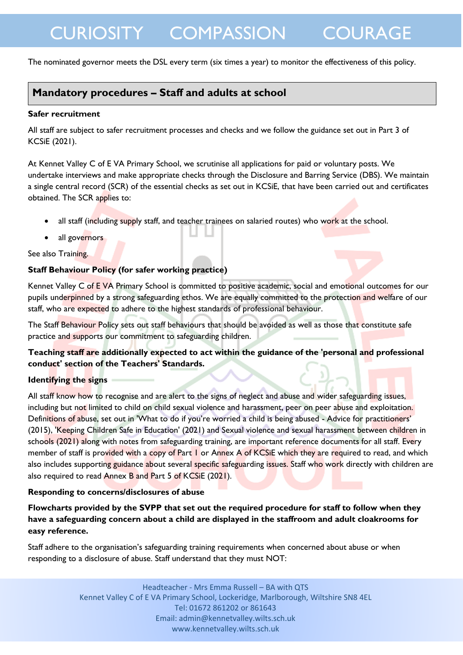The nominated governor meets the DSL every term (six times a year) to monitor the effectiveness of this policy.

### **Mandatory procedures – Staff and adults at school**

#### **Safer recruitment**

All staff are subject to safer recruitment processes and checks and we follow the guidance set out in Part 3 of KCSiE (2021).

At Kennet Valley C of E VA Primary School, we scrutinise all applications for paid or voluntary posts. We undertake interviews and make appropriate checks through the Disclosure and Barring Service (DBS). We maintain a single central record (SCR) of the essential checks as set out in KCSiE, that have been carried out and certificates obtained. The SCR applies to:

- all staff (including supply staff, and teacher trainees on salaried routes) who work at the school.
- all governors

See also Training.

#### **Staff Behaviour Policy (for safer working practice)**

Kennet Valley C of E VA Primary School is committed to positive academic, social and emotional outcomes for our pupils underpinned by a strong safeguarding ethos. We are equally committed to the protection and welfare of our staff, who are expected to adhere to the highest standards of professional behaviour.

The Staff Behaviour Policy sets out staff behaviours that should be avoided as well as those that constitute safe practice and supports our commitment to safeguarding children.

#### **Teaching staff are additionally expected to act within the guidance of the 'personal and professional conduct' section of the Teachers' Standards.**

#### **Identifying the signs**

All staff know how to recognise and are alert to the signs of neglect and abuse and wider safeguarding issues, including but not limited to child on child sexual violence and harassment, peer on peer abuse and exploitation. Definitions of abuse, set out in 'What to do if you're worried a child is being abused - Advice for practitioners' (2015), 'Keeping Children Safe in Education' (2021) and Sexual violence and sexual harassment between children in schools (2021) along with notes from safeguarding training, are important reference documents for all staff. Every member of staff is provided with a copy of Part 1 or Annex A of KCSiE which they are required to read, and which also includes supporting guidance about several specific safeguarding issues. Staff who work directly with children are also required to read Annex B and Part 5 of KCSiE (2021).

#### **Responding to concerns/disclosures of abuse**

**Flowcharts provided by the SVPP that set out the required procedure for staff to follow when they have a safeguarding concern about a child are displayed in the staffroom and adult cloakrooms for easy reference.** 

Staff adhere to the organisation's safeguarding training requirements when concerned about abuse or when responding to a disclosure of abuse. Staff understand that they must NOT: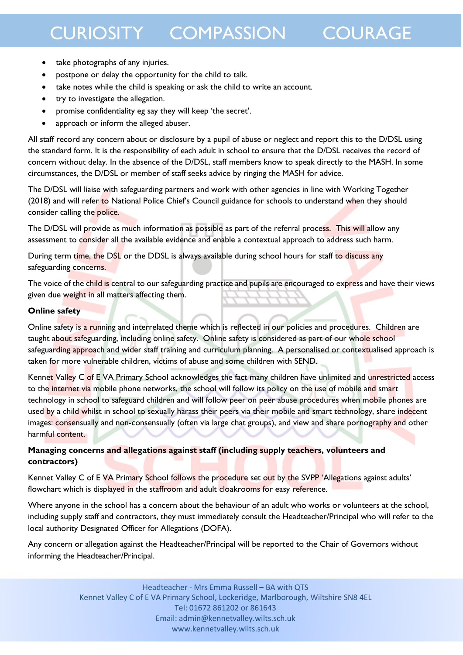- take photographs of any injuries.
- postpone or delay the opportunity for the child to talk.
- take notes while the child is speaking or ask the child to write an account.
- try to investigate the allegation.
- promise confidentiality eg say they will keep 'the secret'.
- approach or inform the alleged abuser.

All staff record any concern about or disclosure by a pupil of abuse or neglect and report this to the D/DSL using the standard form. It is the responsibility of each adult in school to ensure that the D/DSL receives the record of concern without delay. In the absence of the D/DSL, staff members know to speak directly to the MASH. In some circumstances, the D/DSL or member of staff seeks advice by ringing the MASH for advice.

The D/DSL will liaise with safeguarding partners and work with other agencies in line with Working Together (2018) and will refer to National Police Chief's Council guidance for schools to understand when they should consider calling the police.

The D/DSL will provide as much information as possible as part of the referral process. This will allow any assessment to consider all the available evidence and enable a contextual approach to address such harm.

During term time, the DSL or the DDSL is always available during school hours for staff to discuss any safeguarding concerns.

The voice of the child is central to our safeguarding practice and pupils are encouraged to express and have their views given due weight in all matters affecting them.

#### **Online safety**

Online safety is a running and interrelated theme which is reflected in our policies and procedures. Children are taught about safeguarding, including online safety. Online safety is considered as part of our whole school safeguarding approach and wider staff training and curriculum planning. A personalised or contextualised approach is taken for more vulnerable children, victims of abuse and some children with SEND.

Kennet Valley C of E VA Primary School acknowledges the fact many children have unlimited and unrestricted access to the internet via mobile phone networks, the school will follow its policy on the use of mobile and smart technology in school to safeguard children and will follow peer on peer abuse procedures when mobile phones are used by a child whilst in school to sexually harass their peers via their mobile and smart technology, share indecent images: consensually and non-consensually (often via large chat groups), and view and share pornography and other harmful content.

#### **Managing concerns and allegations against staff (including supply teachers, volunteers and contractors)**

Kennet Valley C of E VA Primary School follows the procedure set out by the SVPP 'Allegations against adults' flowchart which is displayed in the staffroom and adult cloakrooms for easy reference.

Where anyone in the school has a concern about the behaviour of an adult who works or volunteers at the school, including supply staff and contractors, they must immediately consult the Headteacher/Principal who will refer to the local authority Designated Officer for Allegations (DOFA).

Any concern or allegation against the Headteacher/Principal will be reported to the Chair of Governors without informing the Headteacher/Principal.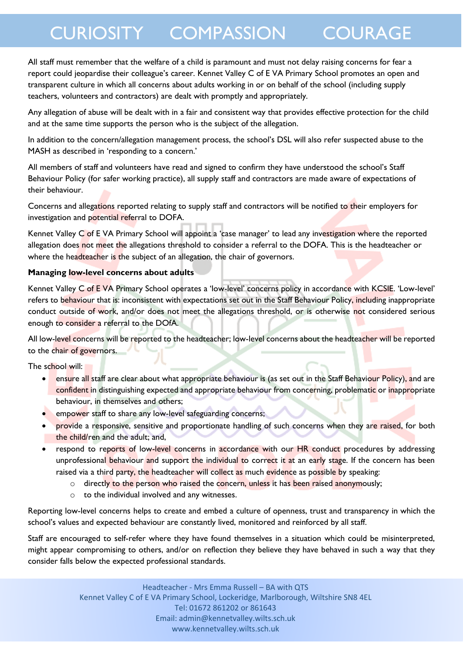All staff must remember that the welfare of a child is paramount and must not delay raising concerns for fear a report could jeopardise their colleague's career. Kennet Valley C of E VA Primary School promotes an open and transparent culture in which all concerns about adults working in or on behalf of the school (including supply teachers, volunteers and contractors) are dealt with promptly and appropriately.

Any allegation of abuse will be dealt with in a fair and consistent way that provides effective protection for the child and at the same time supports the person who is the subject of the allegation.

In addition to the concern/allegation management process, the school's DSL will also refer suspected abuse to the MASH as described in 'responding to a concern.'

All members of staff and volunteers have read and signed to confirm they have understood the school's Staff Behaviour Policy (for safer working practice), all supply staff and contractors are made aware of expectations of their behaviour.

Concerns and allegations reported relating to supply staff and contractors will be notified to their employers for investigation and potential referral to DOFA.

Kennet Valley C of E VA Primary School will appoint a 'case manager' to lead any investigation where the reported allegation does not meet the allegations threshold to consider a referral to the DOFA. This is the headteacher or where the headteacher is the subject of an allegation, the chair of governors.

#### **Managing low-level concerns about adults**

Kennet Valley C of E VA Primary School operates a 'low-level' concerns policy in accordance with KCSIE. 'Low-level' refers to behaviour that is: inconsistent with expectations set out in the Staff Behaviour Policy, including inappropriate conduct outside of work, and/or does not meet the allegations threshold, or is otherwise not considered serious enough to consider a referral to the DOfA.

All low-level concerns will be reported to the headteacher; low-level concerns about the headteacher will be reported to the chair of governors.

The school will:

- **e** ensure all staff are clear about what appropriate behaviour is (as set out in the Staff Behaviour Policy), and are confident in distinguishing expected and appropriate behaviour from concerning, problematic or inappropriate behaviour, in themselves and others;
- **•** empower staff to share any low-level safeguarding concerns;
- provide a responsive, sensitive and proportionate handling of such concerns when they are raised, for both the child/ren and the adult; and,
- respond to reports of low-level concerns in accordance with our HR conduct procedures by addressing unprofessional behaviour and support the individual to correct it at an early stage. If the concern has been raised via a third party, the headteacher will collect as much evidence as possible by speaking:
	- $\circ$  directly to the person who raised the concern, unless it has been raised anonymously;
	- o to the individual involved and any witnesses.

Reporting low-level concerns helps to create and embed a culture of openness, trust and transparency in which the school's values and expected behaviour are constantly lived, monitored and reinforced by all staff.

Staff are encouraged to self-refer where they have found themselves in a situation which could be misinterpreted, might appear compromising to others, and/or on reflection they believe they have behaved in such a way that they consider falls below the expected professional standards.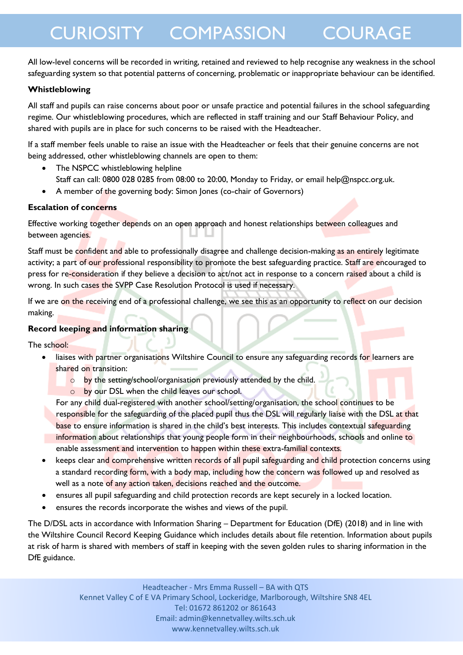All low-level concerns will be recorded in writing, retained and reviewed to help recognise any weakness in the school safeguarding system so that potential patterns of concerning, problematic or inappropriate behaviour can be identified.

#### **Whistleblowing**

All staff and pupils can raise concerns about poor or unsafe practice and potential failures in the school safeguarding regime. Our whistleblowing procedures, which are reflected in staff training and our Staff Behaviour Policy, and shared with pupils are in place for such concerns to be raised with the Headteacher.

If a staff member feels unable to raise an issue with the Headteacher or feels that their genuine concerns are not being addressed, other whistleblowing channels are open to them:

- The NSPCC whistleblowing helpline Staff can call: 0800 028 0285 from 08:00 to 20:00, Monday to Friday, or email help@nspcc.org.uk.
- A member of the governing body: Simon Jones (co-chair of Governors)

#### **Escalation of concerns**

Effective working together depends on an open approach and honest relationships between colleagues and between agencies.

Staff must be confident and able to professionally disagree and challenge decision-making as an entirely legitimate activity; a part of our professional responsibility to promote the best safeguarding practice. Staff are encouraged to press for re-consideration if they believe a decision to act/not act in response to a concern raised about a child is wrong. In such cases the SVPP Case Resolution Protocol is used if necessary.

If we are on the receiving end of a professional challenge, we see this as an opportunity to reflect on our decision making.

#### **Record keeping and information sharing**

The school:

- liaises with partner organisations Wiltshire Council to ensure any safeguarding records for learners are shared on transition:
	- o by the setting/school/organisation previously attended by the child.
		- o by our DSL when the child leaves our school.

For any child dual-registered with another school/setting/organisation, the school continues to be responsible for the safeguarding of the placed pupil thus the DSL will regularly liaise with the DSL at that base to ensure information is shared in the child's best interests. This includes contextual safeguarding information about relationships that young people form in their neighbourhoods, schools and online to enable assessment and intervention to happen within these extra-familial contexts.

- keeps clear and comprehensive written records of all pupil safeguarding and child protection concerns using a standard recording form, with a body map, including how the concern was followed up and resolved as well as a note of any action taken, decisions reached and the outcome.
- ensures all pupil safeguarding and child protection records are kept securely in a locked location.
- ensures the records incorporate the wishes and views of the pupil.

The D/DSL acts in accordance with Information Sharing – Department for Education (DfE) (2018) and in line with the Wiltshire Council Record Keeping Guidance which includes details about file retention. Information about pupils at risk of harm is shared with members of staff in keeping with the seven golden rules to sharing information in the DfE guidance.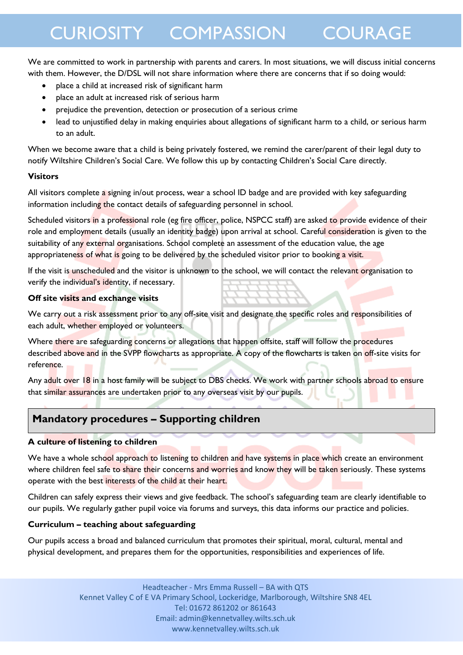We are committed to work in partnership with parents and carers. In most situations, we will discuss initial concerns with them. However, the D/DSL will not share information where there are concerns that if so doing would:

- place a child at increased risk of significant harm
- place an adult at increased risk of serious harm
- prejudice the prevention, detection or prosecution of a serious crime
- lead to unjustified delay in making enquiries about allegations of significant harm to a child, or serious harm to an adult.

When we become aware that a child is being privately fostered, we remind the carer/parent of their legal duty to notify Wiltshire Children's Social Care. We follow this up by contacting Children's Social Care directly.

#### **Visitors**

All visitors complete a signing in/out process, wear a school ID badge and are provided with key safeguarding information including the contact details of safeguarding personnel in school.

Scheduled visitors in a professional role (eg fire officer, police, NSPCC staff) are asked to provide evidence of their role and employment details (usually an identity badge) upon arrival at school. Careful consideration is given to the suitability of any external organisations. School complete an assessment of the education value, the age appropriateness of what is going to be delivered by the scheduled visitor prior to booking a visit.

If the visit is unscheduled and the visitor is unknown to the school, we will contact the relevant organisation to verify the individual's identity, if necessary.

#### **Off site visits and exchange visits**

We carry out a risk assessment prior to any off-site visit and designate the specific roles and responsibilities of each adult, whether employed or volunteers.

Where there are safeguarding concerns or allegations that happen offsite, staff will follow the procedures described above and in the SVPP flowcharts as appropriate. A copy of the flowcharts is taken on off-site visits for reference.

Any adult over 18 in a host family will be subject to DBS checks. We work with partner schools abroad to ensure that similar assurances are undertaken prior to any overseas visit by our pupils.

### **Mandatory procedures – Supporting children**

#### **A culture of listening to children**

We have a whole school approach to listening to children and have systems in place which create an environment where children feel safe to share their concerns and worries and know they will be taken seriously. These systems operate with the best interests of the child at their heart.

Children can safely express their views and give feedback. The school's safeguarding team are clearly identifiable to our pupils. We regularly gather pupil voice via forums and surveys, this data informs our practice and policies.

#### **Curriculum – teaching about safeguarding**

Our pupils access a broad and balanced curriculum that promotes their spiritual, moral, cultural, mental and physical development, and prepares them for the opportunities, responsibilities and experiences of life.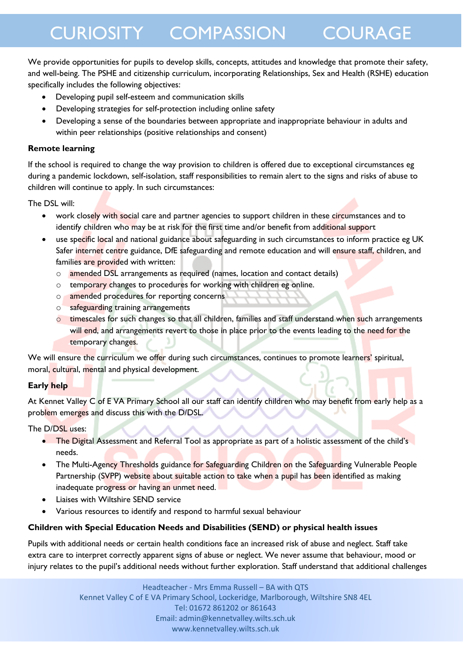We provide opportunities for pupils to develop skills, concepts, attitudes and knowledge that promote their safety, and well-being. The PSHE and citizenship curriculum, incorporating Relationships, Sex and Health (RSHE) education specifically includes the following objectives:

- Developing pupil self-esteem and communication skills
- Developing strategies for self-protection including online safety
- Developing a sense of the boundaries between appropriate and inappropriate behaviour in adults and within peer relationships (positive relationships and consent)

#### **Remote learning**

If the school is required to change the way provision to children is offered due to exceptional circumstances eg during a pandemic lockdown, self-isolation, staff responsibilities to remain alert to the signs and risks of abuse to children will continue to apply. In such circumstances:

The DSL will:

- work closely with social care and partner agencies to support children in these circumstances and to identify children who may be at risk for the first time and/or benefit from additional support
- use specific local and national guidance about safeguarding in such circumstances to inform practice eg UK Safer internet centre guidance, DfE safeguarding and remote education and will ensure staff, children, and families are provided with written:
	- o amended DSL arrangements as required (names, location and contact details)
	- o temporary changes to procedures for working with children eg online.
	- o amended procedures for reporting concerns
	- o safeguarding training arrangements
	- o timescales for such changes so that all children, families and staff understand when such arrangements will end, and arrangements revert to those in place prior to the events leading to the need for the temporary changes.

We will ensure the curriculum we offer during such circumstances, continues to promote learners' spiritual, moral, cultural, mental and physical development.

#### **Early help**

At Kennet Valley C of E VA Primary School all our staff can identify children who may benefit from early help as a problem emerges and discuss this with the D/DSL.

The D/DSL uses:

- The Digital Assessment and Referral Tool as appropriate as part of a holistic assessment of the child's needs.
- The Multi-Agency Thresholds guidance for Safeguarding Children on the Safeguarding Vulnerable People Partnership (SVPP) website about suitable action to take when a pupil has been identified as making inadequate progress or having an unmet need.
- Liaises with Wiltshire SEND service
- Various resources to identify and respond to harmful sexual behaviour

#### **Children with Special Education Needs and Disabilities (SEND) or physical health issues**

Pupils with additional needs or certain health conditions face an increased risk of abuse and neglect. Staff take extra care to interpret correctly apparent signs of abuse or neglect. We never assume that behaviour, mood or injury relates to the pupil's additional needs without further exploration. Staff understand that additional challenges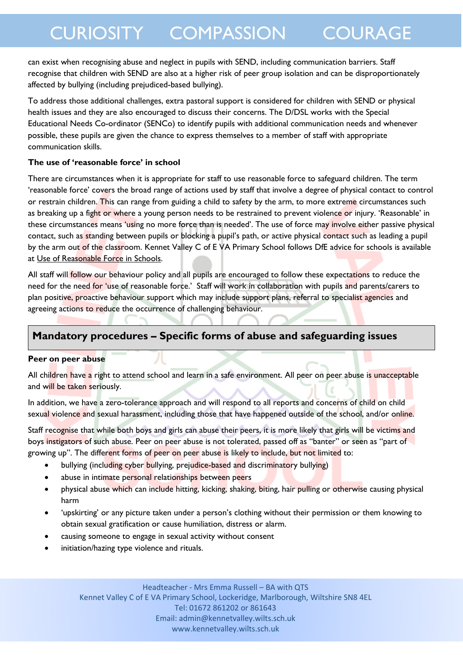can exist when recognising abuse and neglect in pupils with SEND, including communication barriers. Staff recognise that children with SEND are also at a higher risk of peer group isolation and can be disproportionately affected by bullying (including prejudiced-based bullying).

To address those additional challenges, extra pastoral support is considered for children with SEND or physical health issues and they are also encouraged to discuss their concerns. The D/DSL works with the Special Educational Needs Co-ordinator (SENCo) to identify pupils with additional communication needs and whenever possible, these pupils are given the chance to express themselves to a member of staff with appropriate communication skills.

#### **The use of 'reasonable force' in school**

There are circumstances when it is appropriate for staff to use reasonable force to safeguard children. The term 'reasonable force' covers the broad range of actions used by staff that involve a degree of physical contact to control or restrain children. This can range from guiding a child to safety by the arm, to more extreme circumstances such as breaking up a fight or where a young person needs to be restrained to prevent violence or injury. 'Reasonable' in these circumstances means 'using no more force than is needed'. The use of force may involve either passive physical contact, such as standing between pupils or blocking a pupil's path, or active physical contact such as leading a pupil by the arm out of the classroom. Kennet Valley C of E VA Primary School follows DfE advice for schools is available at [Use of Reasonable Force in Schools.](https://assets.publishing.service.gov.uk/government/uploads/system/uploads/attachment_data/file/444051/Use_of_reasonable_force_advice_Reviewed_July_2015.pdf)

All staff will follow our behaviour policy and all pupils are encouraged to follow these expectations to reduce the need for the need for 'use of reasonable force.' Staff will work in collaboration with pupils and parents/carers to plan positive, proactive behaviour support which may include support plans, referral to specialist agencies and agreeing actions to reduce the occurrence of challenging behaviour.

### **Mandatory procedures – Specific forms of abuse and safeguarding issues**

#### **Peer on peer abuse**

All children have a right to attend school and learn in a safe environment. All peer on peer abuse is unacceptable and will be taken seriously.

In addition, we have a zero-tolerance approach and will respond to all reports and concerns of child on child sexual violence and sexual harassment, including those that have happened outside of the school, and/or online.

Staff recognise that while both boys and girls can abuse their peers, it is more likely that girls will be victims and boys instigators of such abuse. Peer on peer abuse is not tolerated, passed off as "banter" or seen as "part of growing up". The different forms of peer on peer abuse is likely to include, but not limited to:

- bullying (including cyber bullying, prejudice-based and discriminatory bullying)
- abuse in intimate personal relationships between peers
- physical abuse which can include hitting, kicking, shaking, biting, hair pulling or otherwise causing physical harm
- 'upskirting' or any picture taken under a person's clothing without their permission or them knowing to obtain sexual gratification or cause humiliation, distress or alarm.
- causing someone to engage in sexual activity without consent
- initiation/hazing type violence and rituals.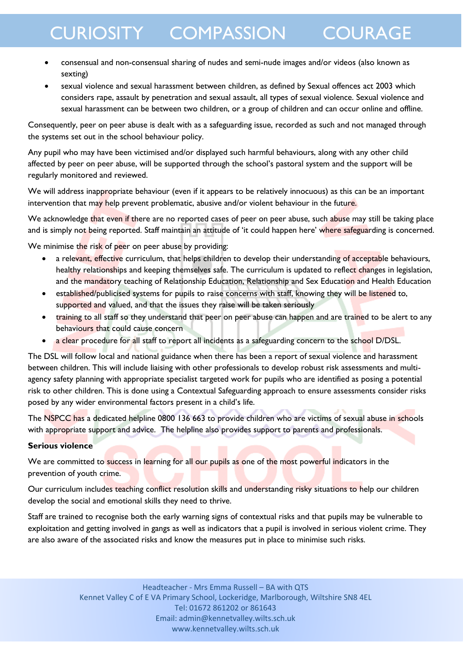- consensual and non-consensual sharing of nudes and semi-nude images and/or videos (also known as sexting)
- sexual violence and sexual harassment between children, as defined by Sexual offences act 2003 which considers rape, assault by penetration and sexual assault, all types of sexual violence. Sexual violence and sexual harassment can be between two children, or a group of children and can occur online and offline.

Consequently, peer on peer abuse is dealt with as a safeguarding issue, recorded as such and not managed through the systems set out in the school behaviour policy.

Any pupil who may have been victimised and/or displayed such harmful behaviours, along with any other child affected by peer on peer abuse, will be supported through the school's pastoral system and the support will be regularly monitored and reviewed.

We will address inappropriate behaviour (even if it appears to be relatively innocuous) as this can be an important intervention that may help prevent problematic, abusive and/or violent behaviour in the future.

We acknowledge that even if there are no reported cases of peer on peer abuse, such abuse may still be taking place and is simply not being reported. Staff maintain an attitude of 'it could happen here' where safeguarding is concerned.

We minimise the risk of peer on peer abuse by providing:

- a relevant, effective curriculum, that helps children to develop their understanding of acceptable behaviours, healthy relationships and keeping themselves safe. The curriculum is updated to reflect changes in legislation, and the mandatory teaching of Relationship Education, Relationship and Sex Education and Health Education
- established/publicised systems for pupils to raise concerns with staff, knowing they will be listened to, supported and valued, and that the issues they raise will be taken seriously
- training to all staff so they understand that peer on peer abuse can happen and are trained to be alert to any behaviours that could cause concern
- a clear procedure for all staff to report all incidents as a safeguarding concern to the school D/DSL.

The DSL will follow local and national guidance when there has been a report of sexual violence and harassment between children. This will include liaising with other professionals to develop robust risk assessments and multiagency safety planning with appropriate specialist targeted work for pupils who are identified as posing a potential risk to other children. This is done using a Contextual Safeguarding approach to ensure assessments consider risks posed by any wider environmental factors present in a child's life.

The NSPCC has a dedicated helpline 0800 136 663 to provide children who are victims of sexual abuse in schools with appropriate support and advice. The helpline also provides support to parents and professionals.

#### **Serious violence**

We are committed to success in learning for all our pupils as one of the most powerful indicators in the prevention of youth crime.

Our curriculum includes teaching conflict resolution skills and understanding risky situations to help our children develop the social and emotional skills they need to thrive.

Staff are trained to recognise both the early warning signs of contextual risks and that pupils may be vulnerable to exploitation and getting involved in gangs as well as indicators that a pupil is involved in serious violent crime. They are also aware of the associated risks and know the measures put in place to minimise such risks.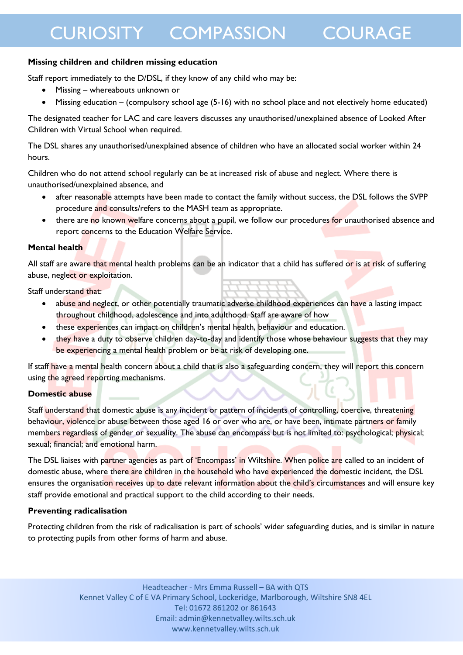#### **Missing children and children missing education**

Staff report immediately to the D/DSL, if they know of any child who may be:

- Missing whereabouts unknown or
- Missing education (compulsory school age (5-16) with no school place and not electively home educated)

The designated teacher for LAC and care leavers discusses any unauthorised/unexplained absence of Looked After Children with Virtual School when required.

The DSL shares any unauthorised/unexplained absence of children who have an allocated social worker within 24 hours.

Children who do not attend school regularly can be at increased risk of abuse and neglect. Where there is unauthorised/unexplained absence, and

- after reasonable attempts have been made to contact the family without success, the DSL follows the SVPP procedure and consults/refers to the MASH team as appropriate.
- there are no known welfare concerns about a pupil, we follow our procedures for unauthorised absence and report concerns to the Education Welfare Service.

#### **Mental health**

All staff are aware that mental health problems can be an indicator that a child has suffered or is at risk of suffering abuse, neglect or exploitation.

Staff understand that:

- abuse and neglect, or other potentially traumatic adverse childhood experiences can have a lasting impact throughout childhood, adolescence and into adulthood. Staff are aware of how
- these experiences can impact on children's mental health, behaviour and education.
- they have a duty to observe children day-to-day and identify those whose behaviour suggests that they may be experiencing a mental health problem or be at risk of developing one.

If staff have a mental health concern about a child that is also a safeguarding concern, they will report this concern using the agreed reporting mechanisms.

#### **Domestic abuse**

Staff understand that domestic abuse is any incident or pattern of incidents of controlling, coercive, threatening behaviour, violence or abuse between those aged 16 or over who are, or have been, intimate partners or family members regardless of gender or sexuality. The abuse can encompass but is not limited to: psychological; physical; sexual; financial; and emotional harm.

The DSL liaises with partner agencies as part of 'Encompass' in Wiltshire. When police are called to an incident of domestic abuse, where there are children in the household who have experienced the domestic incident, the DSL ensures the organisation receives up to date relevant information about the child's circumstances and will ensure key staff provide emotional and practical support to the child according to their needs.

#### **Preventing radicalisation**

Protecting children from the risk of radicalisation is part of schools' wider safeguarding duties, and is similar in nature to protecting pupils from other forms of harm and abuse.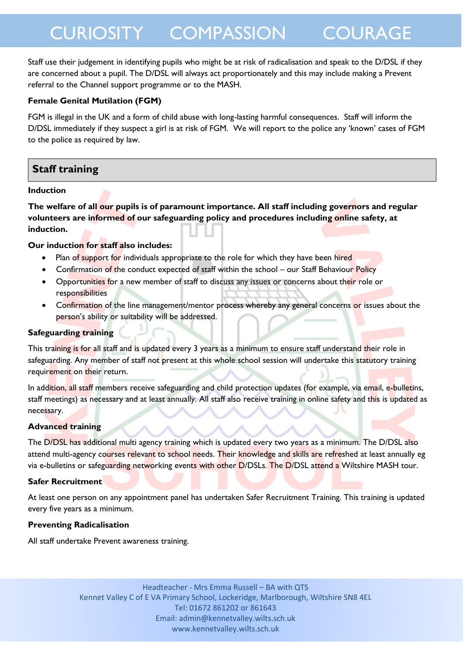Staff use their judgement in identifying pupils who might be at risk of radicalisation and speak to the D/DSL if they are concerned about a pupil. The D/DSL will always act proportionately and this may include making a Prevent referral to the Channel support programme or to the MASH.

#### **Female Genital Mutilation (FGM)**

FGM is illegal in the UK and a form of child abuse with long-lasting harmful consequences. Staff will inform the D/DSL immediately if they suspect a girl is at risk of FGM. We will report to the police any 'known' cases of FGM to the police as required by law.

### **Staff training**

#### **Induction**

**The welfare of all our pupils is of paramount importance. All staff including governors and regular volunteers are informed of our safeguarding policy and procedures including online safety, at induction.** 

#### **Our induction for staff also includes:**

- Plan of support for individuals appropriate to the role for which they have been hired
- Confirmation of the conduct expected of staff within the school our Staff Behaviour Policy
- Opportunities for a new member of staff to discuss any issues or concerns about their role or responsibilities
- Confirmation of the line management/mentor process whereby any general concerns or issues about the person's ability or suitability will be addressed.

#### **Safeguarding training**

This training is for all staff and is updated every 3 years as a minimum to ensure staff understand their role in safeguarding. Any member of staff not present at this whole school session will undertake this statutory training requirement on their return.

In addition, all staff members receive safeguarding and child protection updates (for example, via email, e-bulletins, staff meetings) as necessary and at least annually. All staff also receive training in online safety and this is updated as necessary.

#### **Advanced training**

The D/DSL has additional multi agency training which is updated every two years as a minimum. The D/DSL also attend multi-agency courses relevant to school needs. Their knowledge and skills are refreshed at least annually eg via e-bulletins or safeguarding networking events with other D/DSLs. The D/DSL attend a Wiltshire MASH tour.

#### **Safer Recruitment**

At least one person on any appointment panel has undertaken Safer Recruitment Training. This training is updated every five years as a minimum.

#### **Preventing Radicalisation**

All staff undertake Prevent awareness training.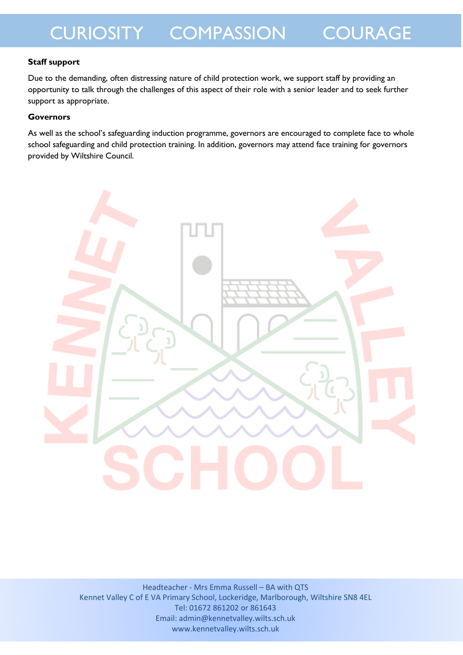#### **Staff support**

Due to the demanding, often distressing nature of child protection work, we support staff by providing an opportunity to talk through the challenges of this aspect of their role with a senior leader and to seek further support as appropriate.

#### **Governors**

As well as the school's safeguarding induction programme, governors are encouraged to complete face to whole school safeguarding and child protection training. In addition, governors may attend face training for governors provided by Wiltshire Council.